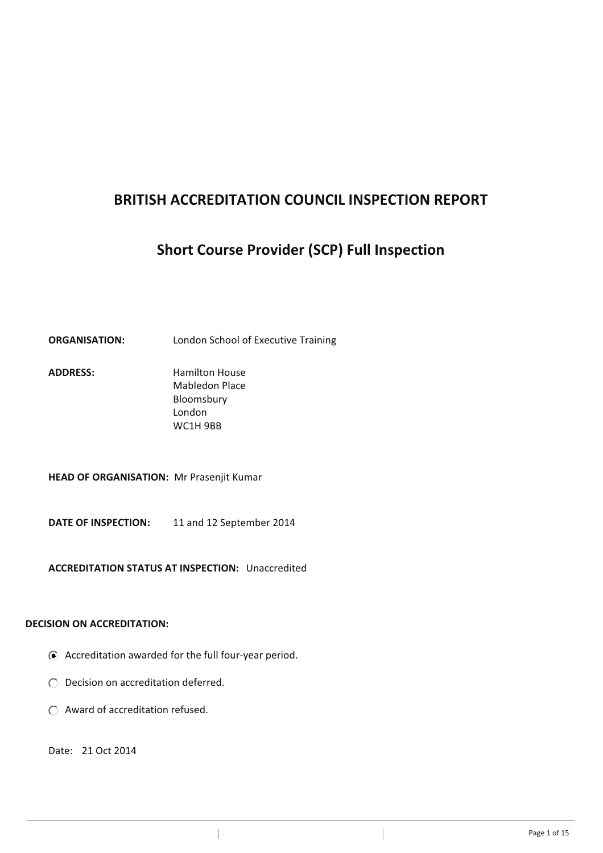# **BRITISH ACCREDITATION COUNCIL INSPECTION REPORT**

# **Short Course Provider (SCP) Full Inspection**

# **ORGANISATION:** London School of Executive Training

ADDRESS: Hamilton House Mabledon Place Bloomsbury London WC1H 9BB

**HEAD OF ORGANISATION:** Mr Prasenjit Kumar

**DATE OF INSPECTION:** 11 and 12 September 2014

**ACCREDITATION STATUS AT INSPECTION:** Unaccredited

# **DECISION ON ACCREDITATION:**

Accreditation awarded for the full four-year period.

 $\overline{\phantom{a}}$ 

- O Decision on accreditation deferred.
- Award of accreditation refused.

Date: 21 Oct 2014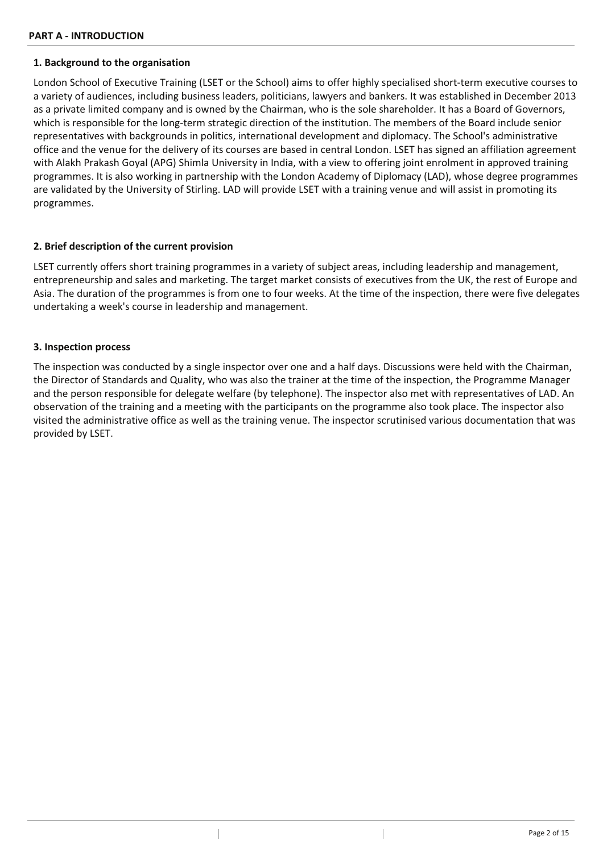## **1. Background to the organisation**

London School of Executive Training (LSET or the School) aims to offer highly specialised short-term executive courses to a variety of audiences, including business leaders, politicians, lawyers and bankers. It was established in December 2013 as a private limited company and is owned by the Chairman, who is the sole shareholder. It has a Board of Governors, which is responsible for the long-term strategic direction of the institution. The members of the Board include senior representatives with backgrounds in politics, international development and diplomacy. The School's administrative office and the venue for the delivery of its courses are based in central London. LSET has signed an affiliation agreement with Alakh Prakash Goyal (APG) Shimla University in India, with a view to offering joint enrolment in approved training programmes. It is also working in partnership with the London Academy of Diplomacy (LAD), whose degree programmes are validated by the University of Stirling. LAD will provide LSET with a training venue and will assist in promoting its programmes.

# **2. Brief description of the current provision**

LSET currently offers short training programmes in a variety of subject areas, including leadership and management, entrepreneurship and sales and marketing. The target market consists of executives from the UK, the rest of Europe and Asia. The duration of the programmes is from one to four weeks. At the time of the inspection, there were five delegates undertaking a week's course in leadership and management.

### **3. Inspection process**

The inspection was conducted by a single inspector over one and a half days. Discussions were held with the Chairman, the Director of Standards and Quality, who was also the trainer at the time of the inspection, the Programme Manager and the person responsible for delegate welfare (by telephone). The inspector also met with representatives of LAD. An observation of the training and a meeting with the participants on the programme also took place. The inspector also visited the administrative office as well as the training venue. The inspector scrutinised various documentation that was provided by LSET.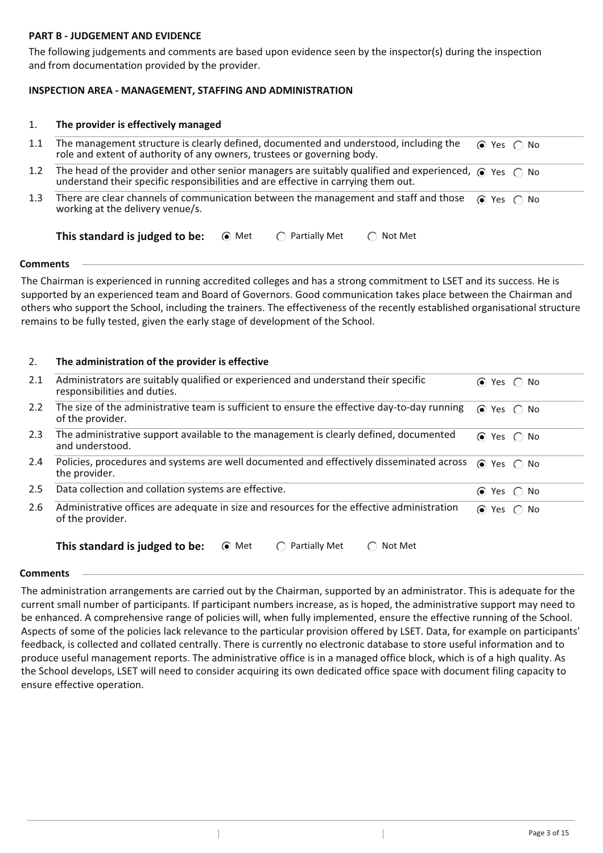# **PART B - JUDGEMENT AND EVIDENCE**

The following judgements and comments are based upon evidence seen by the inspector(s) during the inspection and from documentation provided by the provider.

# **INSPECTION AREA - MANAGEMENT, STAFFING AND ADMINISTRATION**

#### **The provider is effectively managed** 1.

- The management structure is clearly defined, documented and understood, including the role and extent of authority of any owners, trustees or governing body. 1.1 Yes No
- The head of the provider and other senior managers are suitably qualified and experienced,  $\circledbullet$  Yes  $\circledcirc$  No understand their specific responsibilities and are effective in carrying them out. 1.2
- 1.3 There are clear channels of communication between the management and staff and those working at the delivery venue/s. **⊙** Yes ∩ No

#### **This standard is judged to be:**  $\odot$  Met  $\odot$  Partially Met  $\odot$  Not Met

### **Comments**

The Chairman is experienced in running accredited colleges and has a strong commitment to LSET and its success. He is supported by an experienced team and Board of Governors. Good communication takes place between the Chairman and others who support the School, including the trainers. The effectiveness of the recently established organisational structure remains to be fully tested, given the early stage of development of the School.

## 2. **The administration of the provider is effective**

| 2.1           | Administrators are suitably qualified or experienced and understand their specific<br>responsibilities and duties. | $\odot$ Yes $\odot$ No |
|---------------|--------------------------------------------------------------------------------------------------------------------|------------------------|
| $2.2^{\circ}$ | The size of the administrative team is sufficient to ensure the effective day-to-day running<br>of the provider.   | $\odot$ Yes $\odot$ No |
| 2.3           | The administrative support available to the management is clearly defined, documented<br>and understood.           | $\odot$ Yes $\odot$ No |
| $2.4^{\circ}$ | Policies, procedures and systems are well documented and effectively disseminated across<br>the provider.          | $\odot$ Yes $\odot$ No |
| 2.5           | Data collection and collation systems are effective.                                                               | $\odot$ Yes $\odot$ No |
| 2.6           | Administrative offices are adequate in size and resources for the effective administration<br>of the provider.     | $\odot$ Yes $\odot$ No |
|               | This standard is judged to be:<br>⊙ Met<br>Partially Met<br>Not Met                                                |                        |

### **Comments**

The administration arrangements are carried out by the Chairman, supported by an administrator. This is adequate for the current small number of participants. If participant numbers increase, as is hoped, the administrative support may need to be enhanced. A comprehensive range of policies will, when fully implemented, ensure the effective running of the School. Aspects of some of the policies lack relevance to the particular provision offered by LSET. Data, for example on participants' feedback, is collected and collated centrally. There is currently no electronic database to store useful information and to produce useful management reports. The administrative office is in a managed office block, which is of a high quality. As the School develops, LSET will need to consider acquiring its own dedicated office space with document filing capacity to ensure effective operation.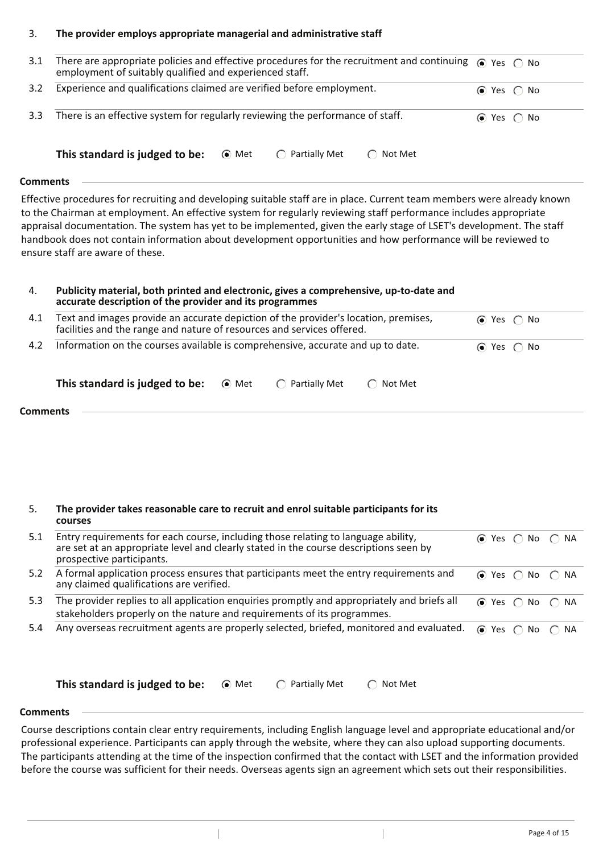## 3. **The provider employs appropriate managerial and administrative staff**

| 3.1 | There are appropriate policies and effective procedures for the recruitment and continuing $\bullet$ Yes $\circ$ No<br>employment of suitably qualified and experienced staff. |                        |  |
|-----|--------------------------------------------------------------------------------------------------------------------------------------------------------------------------------|------------------------|--|
| 3.2 | Experience and qualifications claimed are verified before employment.                                                                                                          | $\odot$ Yes $\odot$ No |  |
| 3.3 | There is an effective system for regularly reviewing the performance of staff.                                                                                                 | $\odot$ Yes $\odot$ No |  |

#### **This standard is judged to be:**  $\odot$  Met  $\odot$  Partially Met  $\odot$  Not Met

# **Comments**

Effective procedures for recruiting and developing suitable staff are in place. Current team members were already known to the Chairman at employment. An effective system for regularly reviewing staff performance includes appropriate appraisal documentation. The system has yet to be implemented, given the early stage of LSET's development. The staff handbook does not contain information about development opportunities and how performance will be reviewed to ensure staff are aware of these.

# 4. **Publicity material, both printed and electronic, gives a comprehensive, up-to-date and accurate description of the provider and its programmes**

| 4.1 | Text and images provide an accurate depiction of the provider's location, premises,<br>facilities and the range and nature of resources and services offered. |                         |                  | $\odot$ Yes $\odot$ No |
|-----|---------------------------------------------------------------------------------------------------------------------------------------------------------------|-------------------------|------------------|------------------------|
|     | 4.2 Information on the courses available is comprehensive, accurate and up to date.                                                                           | $\odot$ Yes $\odot$ No  |                  |                        |
|     | This standard is judged to be: $\bullet$ Met                                                                                                                  | $\bigcap$ Partially Met | $\cap$ Not Met . |                        |

|                 | __ |  |  |
|-----------------|----|--|--|
| <b>Comments</b> |    |  |  |
|                 |    |  |  |

#### 5. **The provider takes reasonable care to recruit and enrol suitable participants for its courses**

| 5.1 | Entry requirements for each course, including those relating to language ability,<br>are set at an appropriate level and clearly stated in the course descriptions seen by<br>prospective participants. |                                         | $\odot$ Yes $\odot$ No $\odot$ NA       |  |
|-----|---------------------------------------------------------------------------------------------------------------------------------------------------------------------------------------------------------|-----------------------------------------|-----------------------------------------|--|
| 5.2 | A formal application process ensures that participants meet the entry requirements and<br>any claimed qualifications are verified.                                                                      |                                         | $\odot$ Yes $\bigcirc$ No $\bigcirc$ NA |  |
| 5.3 | The provider replies to all application enquiries promptly and appropriately and briefs all<br>stakeholders properly on the nature and requirements of its programmes.                                  | $\odot$ Yes $\bigcap$ No $\bigcap$ NA   |                                         |  |
| 5.4 | Any overseas recruitment agents are properly selected, briefed, monitored and evaluated.                                                                                                                | $\odot$ Yes $\bigcirc$ No $\bigcirc$ NA |                                         |  |

**This standard is judged to be:**  $\odot$  Met  $\odot$  Partially Met  $\odot$  Not Met

### **Comments**

Course descriptions contain clear entry requirements, including English language level and appropriate educational and/or professional experience. Participants can apply through the website, where they can also upload supporting documents. The participants attending at the time of the inspection confirmed that the contact with LSET and the information provided before the course was sufficient for their needs. Overseas agents sign an agreement which sets out their responsibilities.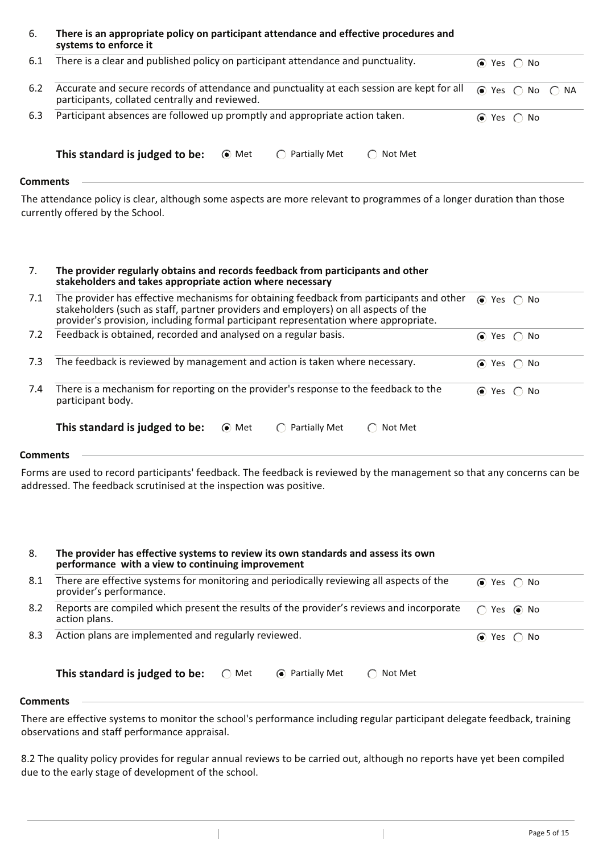#### 6. **There is an appropriate policy on participant attendance and effective procedures and systems to enforce it**

| 6.1 | There is a clear and published policy on participant attendance and punctuality.                                                             |       |                                       |                                                          | $\odot$ Yes $\odot$ No |  |  |
|-----|----------------------------------------------------------------------------------------------------------------------------------------------|-------|---------------------------------------|----------------------------------------------------------|------------------------|--|--|
| 6.2 | Accurate and secure records of attendance and punctuality at each session are kept for all<br>participants, collated centrally and reviewed. |       | $\odot$ Yes $\bigcap$ No $\bigcap$ NA |                                                          |                        |  |  |
| 6.3 | Participant absences are followed up promptly and appropriate action taken.                                                                  |       |                                       |                                                          | $\odot$ Yes $\odot$ No |  |  |
|     | This standard is judged to be:                                                                                                               | • Met | $\bigcap$ Partially Met               | Not Met<br>$\left( \begin{array}{c} \end{array} \right)$ |                        |  |  |
| $-$ |                                                                                                                                              |       |                                       |                                                          |                        |  |  |

**Comments**

The attendance policy is clear, although some aspects are more relevant to programmes of a longer duration than those currently offered by the School.

| The provider regularly obtains and records feedback from participants and other |
|---------------------------------------------------------------------------------|
| stakeholders and takes appropriate action where necessary                       |

| 7.1 | The provider has effective mechanisms for obtaining feedback from participants and other<br>stakeholders (such as staff, partner providers and employers) on all aspects of the<br>provider's provision, including formal participant representation where appropriate. | $\odot$ Yes $\odot$ No |
|-----|-------------------------------------------------------------------------------------------------------------------------------------------------------------------------------------------------------------------------------------------------------------------------|------------------------|
| 7.2 | Feedback is obtained, recorded and analysed on a regular basis.                                                                                                                                                                                                         | $\odot$ Yes $\odot$ No |
| 7.3 | The feedback is reviewed by management and action is taken where necessary.                                                                                                                                                                                             | $\odot$ Yes $\odot$ No |
| 7.4 | There is a mechanism for reporting on the provider's response to the feedback to the<br>participant body.                                                                                                                                                               | $\odot$ Yes $\odot$ No |
|     | This standard is judged to be:<br><b>Partially Met</b><br>• Met<br>Not Met                                                                                                                                                                                              |                        |

### **Comments**

Forms are used to record participants' feedback. The feedback is reviewed by the management so that any concerns can be addressed. The feedback scrutinised at the inspection was positive.

| 8.       | The provider has effective systems to review its own standards and assess its own<br>performance with a view to continuing improvement |                        |
|----------|----------------------------------------------------------------------------------------------------------------------------------------|------------------------|
| 8.1      | There are effective systems for monitoring and periodically reviewing all aspects of the<br>provider's performance.                    | $\odot$ Yes $\odot$ No |
| 8.2      | Reports are compiled which present the results of the provider's reviews and incorporate<br>action plans.                              | Yes $\odot$ No<br>◯    |
| 8.3      | Action plans are implemented and regularly reviewed.                                                                                   | $\odot$ Yes $\odot$ No |
|          | This standard is judged to be:<br>• Partially Met<br>$\bigcap$ Met<br>Not Met                                                          |                        |
| `ommantc |                                                                                                                                        |                        |

### **Comments**

There are effective systems to monitor the school's performance including regular participant delegate feedback, training observations and staff performance appraisal.

8.2 The quality policy provides for regular annual reviews to be carried out, although no reports have yet been compiled due to the early stage of development of the school.

 $\overline{\phantom{a}}$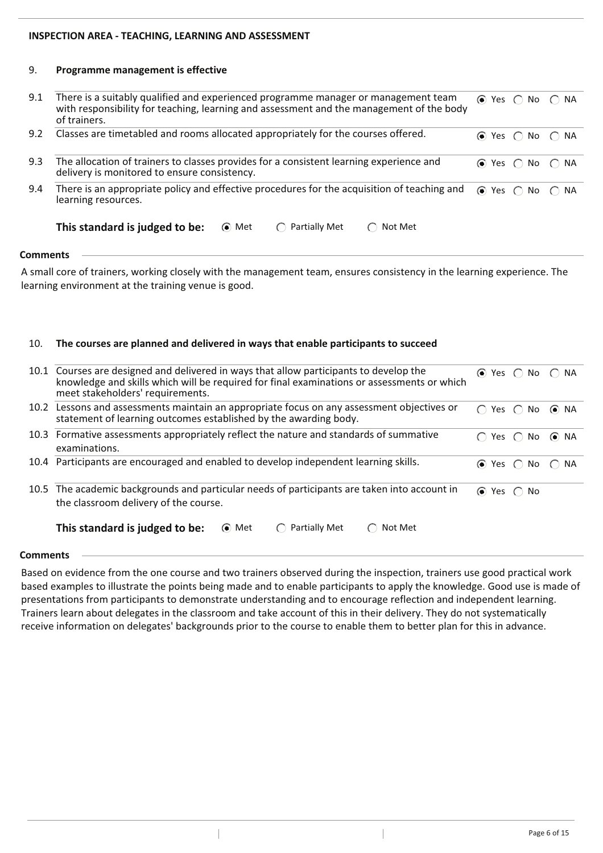# **INSPECTION AREA - TEACHING, LEARNING AND ASSESSMENT**

#### 9. **Programme management is effective**

| There is a suitably qualified and experienced programme manager or management team<br>with responsibility for teaching, learning and assessment and the management of the body<br>of trainers. |  |                                                                                                                                                        |
|------------------------------------------------------------------------------------------------------------------------------------------------------------------------------------------------|--|--------------------------------------------------------------------------------------------------------------------------------------------------------|
| Classes are timetabled and rooms allocated appropriately for the courses offered.                                                                                                              |  |                                                                                                                                                        |
| The allocation of trainers to classes provides for a consistent learning experience and<br>delivery is monitored to ensure consistency.                                                        |  |                                                                                                                                                        |
| There is an appropriate policy and effective procedures for the acquisition of teaching and<br>learning resources.                                                                             |  |                                                                                                                                                        |
| This standard is judged to be:<br>Partially Met<br>⊙ Met<br>Not Met<br>$\left( \begin{array}{c} \end{array} \right)$                                                                           |  |                                                                                                                                                        |
|                                                                                                                                                                                                |  | $\odot$ Yes $\bigcirc$ No $\bigcirc$ NA<br>$\odot$ Yes $\odot$ No $\odot$ NA<br>$\odot$ Yes $\odot$ No $\odot$ NA<br>$\odot$ Yes $\odot$ No $\odot$ NA |

**Comments**

A small core of trainers, working closely with the management team, ensures consistency in the learning experience. The learning environment at the training venue is good.

#### 10. **The courses are planned and delivered in ways that enable participants to succeed**

| 10.1 Courses are designed and delivered in ways that allow participants to develop the<br>knowledge and skills which will be required for final examinations or assessments or which<br>meet stakeholders' requirements. |                        | $\odot$ Yes $\odot$ No $\odot$ NA        |      |
|--------------------------------------------------------------------------------------------------------------------------------------------------------------------------------------------------------------------------|------------------------|------------------------------------------|------|
| 10.2 Lessons and assessments maintain an appropriate focus on any assessment objectives or<br>statement of learning outcomes established by the awarding body.                                                           |                        | $\bigcap$ Yes $\bigcap$ No $\bigcirc$ NA |      |
| 10.3 Formative assessments appropriately reflect the nature and standards of summative<br>examinations.                                                                                                                  |                        | Yes $\bigcap$ No                         | ⊙ NA |
| 10.4 Participants are encouraged and enabled to develop independent learning skills.                                                                                                                                     |                        | $\odot$ Yes $\odot$ No $\odot$ NA        |      |
| 10.5 The academic backgrounds and particular needs of participants are taken into account in<br>the classroom delivery of the course.                                                                                    | $\odot$ Yes $\odot$ No |                                          |      |
| This standard is judged to be:<br>Partially Met<br>⊙ Met<br>Not Met                                                                                                                                                      |                        |                                          |      |

### **Comments**

Based on evidence from the one course and two trainers observed during the inspection, trainers use good practical work based examples to illustrate the points being made and to enable participants to apply the knowledge. Good use is made of presentations from participants to demonstrate understanding and to encourage reflection and independent learning. Trainers learn about delegates in the classroom and take account of this in their delivery. They do not systematically receive information on delegates' backgrounds prior to the course to enable them to better plan for this in advance.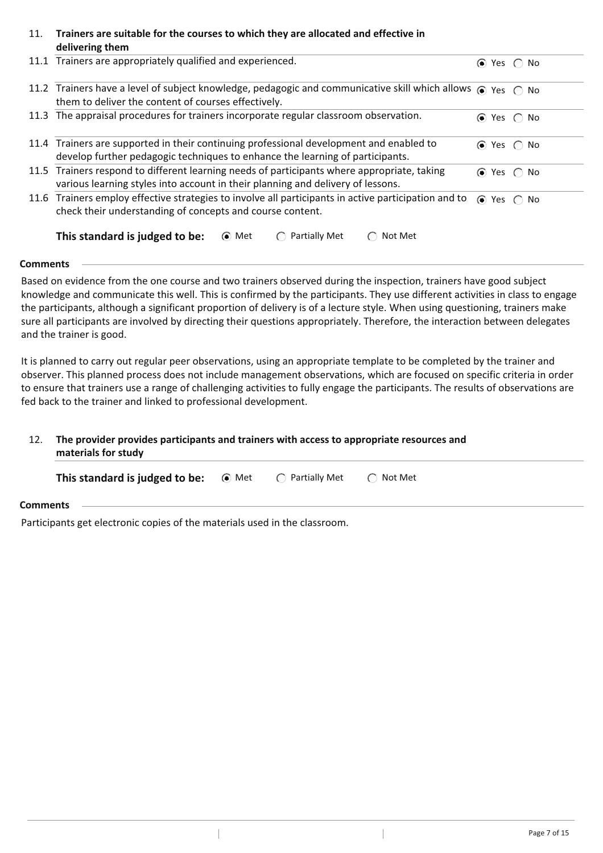#### 11. **Trainers are suitable for the courses to which they are allocated and effective in delivering them**

| 11.1 Trainers are appropriately qualified and experienced.                                                                                                        | $\odot$ | Yes $\bigcap$ | No                     |  |
|-------------------------------------------------------------------------------------------------------------------------------------------------------------------|---------|---------------|------------------------|--|
| 11.2 Trainers have a level of subject knowledge, pedagogic and communicative skill which allows $\bullet$ Yes $\circ$ No                                          |         |               |                        |  |
| them to deliver the content of courses effectively.                                                                                                               |         |               |                        |  |
| 11.3 The appraisal procedures for trainers incorporate regular classroom observation.                                                                             |         |               | $\odot$ Yes $\odot$ No |  |
| 11.4 Trainers are supported in their continuing professional development and enabled to                                                                           |         |               | $\odot$ Yes $\odot$ No |  |
| develop further pedagogic techniques to enhance the learning of participants.                                                                                     |         |               |                        |  |
| 11.5 Trainers respond to different learning needs of participants where appropriate, taking                                                                       |         |               | $\odot$ Yes $\odot$ No |  |
| various learning styles into account in their planning and delivery of lessons.                                                                                   |         |               |                        |  |
| 11.6 Trainers employ effective strategies to involve all participants in active participation and to<br>check their understanding of concepts and course content. |         |               | $\odot$ Yes $\odot$ No |  |
| This standard is judged to be:<br>Partially Met<br>(• Met<br>Not Met                                                                                              |         |               |                        |  |

# **Comments**

Based on evidence from the one course and two trainers observed during the inspection, trainers have good subject knowledge and communicate this well. This is confirmed by the participants. They use different activities in class to engage the participants, although a significant proportion of delivery is of a lecture style. When using questioning, trainers make sure all participants are involved by directing their questions appropriately. Therefore, the interaction between delegates and the trainer is good.

It is planned to carry out regular peer observations, using an appropriate template to be completed by the trainer and observer. This planned process does not include management observations, which are focused on specific criteria in order to ensure that trainers use a range of challenging activities to fully engage the participants. The results of observations are fed back to the trainer and linked to professional development.

# 12. **The provider provides participants and trainers with access to appropriate resources and materials for study**

| <b>This standard is judged to be:</b> $\bullet$ Met                        |  | ◯ Partially Met | $\bigcap$ Not Met |
|----------------------------------------------------------------------------|--|-----------------|-------------------|
| <b>Comments</b>                                                            |  |                 |                   |
| Participants get electronic copies of the materials used in the classroom. |  |                 |                   |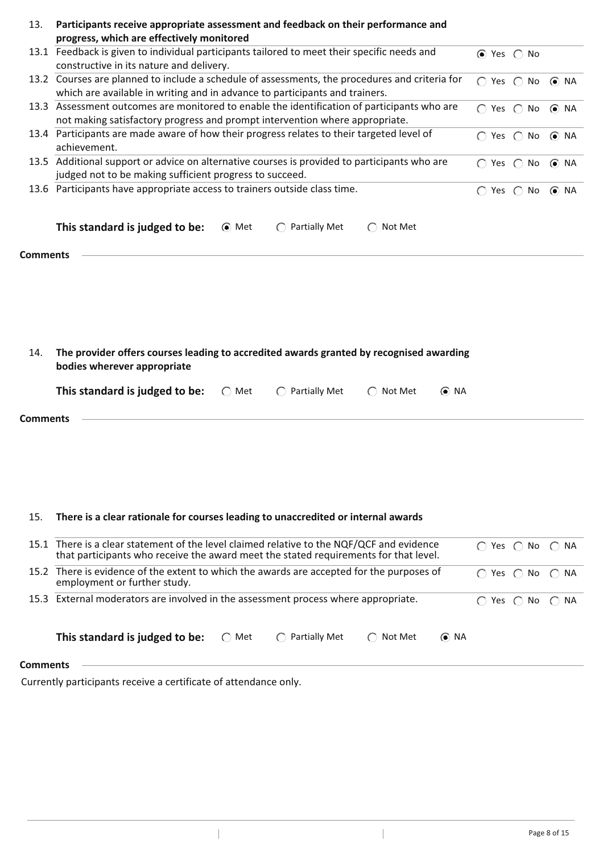| 13.             | Participants receive appropriate assessment and feedback on their performance and                               |                                          |            |
|-----------------|-----------------------------------------------------------------------------------------------------------------|------------------------------------------|------------|
|                 | progress, which are effectively monitored                                                                       |                                          |            |
|                 | 13.1 Feedback is given to individual participants tailored to meet their specific needs and                     | $\odot$ Yes $\odot$ No                   |            |
|                 | constructive in its nature and delivery.                                                                        |                                          |            |
|                 | 13.2 Courses are planned to include a schedule of assessments, the procedures and criteria for                  | $\bigcap$ Yes $\bigcap$ No               | $\odot$ NA |
|                 | which are available in writing and in advance to participants and trainers.                                     |                                          |            |
|                 | 13.3 Assessment outcomes are monitored to enable the identification of participants who are                     | $\bigcap$ Yes $\bigcap$ No $\bigcirc$ NA |            |
|                 | not making satisfactory progress and prompt intervention where appropriate.                                     |                                          |            |
|                 | 13.4 Participants are made aware of how their progress relates to their targeted level of                       | $\bigcap$ Yes $\bigcap$ No               | $\odot$ NA |
|                 | achievement.                                                                                                    |                                          |            |
|                 | 13.5 Additional support or advice on alternative courses is provided to participants who are                    | $\bigcap$ Yes $\bigcap$ No $\bigcirc$ NA |            |
|                 | judged not to be making sufficient progress to succeed.                                                         |                                          |            |
|                 | 13.6 Participants have appropriate access to trainers outside class time.                                       | $\bigcap$ Yes $\bigcap$ No $\bigcirc$ NA |            |
|                 |                                                                                                                 |                                          |            |
|                 |                                                                                                                 |                                          |            |
|                 | This standard is judged to be:<br>⊙ Met<br><b>Partially Met</b><br>Not Met<br>$\bigcap$                         |                                          |            |
|                 |                                                                                                                 |                                          |            |
| <b>Comments</b> |                                                                                                                 |                                          |            |
|                 |                                                                                                                 |                                          |            |
|                 |                                                                                                                 |                                          |            |
|                 |                                                                                                                 |                                          |            |
|                 |                                                                                                                 |                                          |            |
|                 |                                                                                                                 |                                          |            |
|                 |                                                                                                                 |                                          |            |
| 14.             | The provider offers courses leading to accredited awards granted by recognised awarding                         |                                          |            |
|                 | bodies wherever appropriate                                                                                     |                                          |            |
|                 | This standard is judged to be:<br>$\bigcirc$ Partially Met<br>$\bigcap$ Not Met<br>$\odot$ NA<br>$\bigcirc$ Met |                                          |            |
| <b>Comments</b> |                                                                                                                 |                                          |            |
|                 |                                                                                                                 |                                          |            |

# 15. **There is a clear rationale for courses leading to unaccredited or internal awards**

 $\begin{array}{c} \hline \end{array}$ 

|                 |                                                                                    | 15.1 There is a clear statement of the level claimed relative to the NQF/QCF and evidence<br>that participants who receive the award meet the stated requirements for that level. |                         |         | $\left( \begin{array}{c} \end{array} \right)$ | Yes $\bigcap$ No $\bigcap$ NA               |                                 |  |
|-----------------|------------------------------------------------------------------------------------|-----------------------------------------------------------------------------------------------------------------------------------------------------------------------------------|-------------------------|---------|-----------------------------------------------|---------------------------------------------|---------------------------------|--|
|                 | employment or further study.                                                       | 15.2 There is evidence of the extent to which the awards are accepted for the purposes of                                                                                         |                         |         |                                               | $\left(\begin{array}{c} \end{array}\right)$ | Yes $\bigcirc$ No $\bigcirc$ NA |  |
|                 | 15.3 External moderators are involved in the assessment process where appropriate. |                                                                                                                                                                                   |                         |         |                                               |                                             | Yes $\bigcap$ No $\bigcap$ NA   |  |
|                 | This standard is judged to be:                                                     | $\bigcap$ Met                                                                                                                                                                     | $\bigcap$ Partially Met | Not Met | $\odot$ NA                                    |                                             |                                 |  |
| <b>Comments</b> |                                                                                    |                                                                                                                                                                                   |                         |         |                                               |                                             |                                 |  |

 $\overline{\phantom{a}}$ 

Currently participants receive a certificate of attendance only.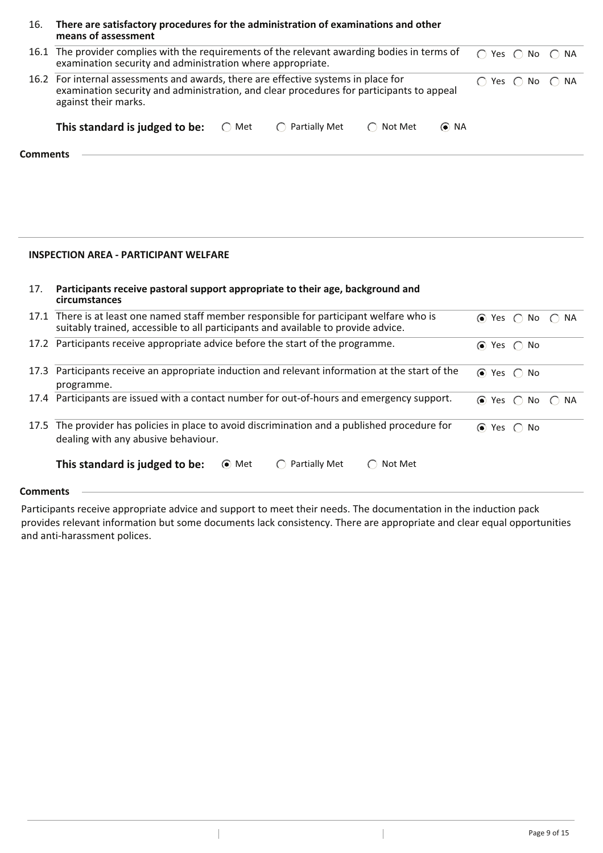| 16.             | There are satisfactory procedures for the administration of examinations and other<br>means of assessment                                                                                              |               |                         |                   |            |                                         |  |
|-----------------|--------------------------------------------------------------------------------------------------------------------------------------------------------------------------------------------------------|---------------|-------------------------|-------------------|------------|-----------------------------------------|--|
|                 | 16.1 The provider complies with the requirements of the relevant awarding bodies in terms of<br>examination security and administration where appropriate.                                             |               |                         |                   |            | $\bigcap$ Yes $\bigcap$ No $\bigcap$ NA |  |
|                 | 16.2 For internal assessments and awards, there are effective systems in place for<br>examination security and administration, and clear procedures for participants to appeal<br>against their marks. |               |                         |                   |            | $\bigcap$ Yes $\bigcap$ No $\bigcap$ NA |  |
|                 | This standard is judged to be:                                                                                                                                                                         | $\bigcap$ Met | $\bigcap$ Partially Met | $\bigcap$ Not Met | $\odot$ NA |                                         |  |
| <b>Comments</b> |                                                                                                                                                                                                        |               |                         |                   |            |                                         |  |

## **INSPECTION AREA - PARTICIPANT WELFARE**

| 17.             | Participants receive pastoral support appropriate to their age, background and<br>circumstances                                                                               |                                                  |
|-----------------|-------------------------------------------------------------------------------------------------------------------------------------------------------------------------------|--------------------------------------------------|
|                 | 17.1 There is at least one named staff member responsible for participant welfare who is<br>suitably trained, accessible to all participants and available to provide advice. | $\odot$ Yes $\odot$ No $\odot$ NA                |
|                 | 17.2 Participants receive appropriate advice before the start of the programme.                                                                                               | $\odot$ Yes $\odot$ No                           |
| 17.3            | Participants receive an appropriate induction and relevant information at the start of the<br>programme.                                                                      | $\odot$ Yes $\odot$ No                           |
| 17.4            | Participants are issued with a contact number for out-of-hours and emergency support.                                                                                         | $\odot$ Yes $\odot$<br>No $\bigcap$<br><b>NA</b> |
|                 | 17.5 The provider has policies in place to avoid discrimination and a published procedure for<br>dealing with any abusive behaviour.                                          | $\odot$<br>Yes $\bigcirc$<br>No                  |
|                 | This standard is judged to be:<br>⊙ Met<br>Partially Met<br>Not Met<br>$\left( \begin{array}{c} \end{array} \right)$<br>$(\ )$                                                |                                                  |
| <b>Comments</b> |                                                                                                                                                                               |                                                  |

Participants receive appropriate advice and support to meet their needs. The documentation in the induction pack provides relevant information but some documents lack consistency. There are appropriate and clear equal opportunities and anti-harassment polices.

 $\overline{1}$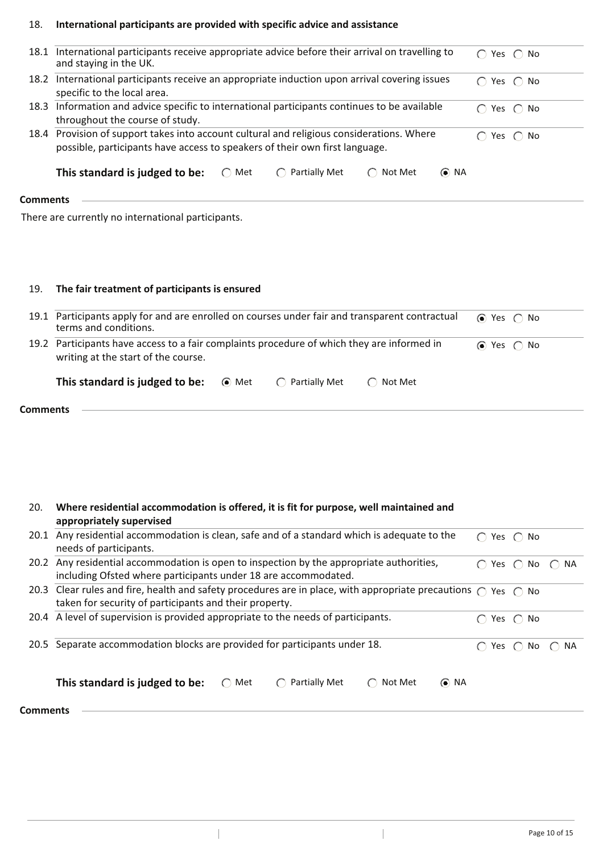#### 18. **International participants are provided with specific advice and assistance**

| 18.1     | International participants receive appropriate advice before their arrival on travelling to<br>and staying in the UK.                                                    | $\bigcap$ Yes $\bigcap$ No |                                                     |
|----------|--------------------------------------------------------------------------------------------------------------------------------------------------------------------------|----------------------------|-----------------------------------------------------|
| 18.2     | International participants receive an appropriate induction upon arrival covering issues<br>specific to the local area.                                                  | $\bigcap$ Yes $\bigcap$ No |                                                     |
| 18.3     | Information and advice specific to international participants continues to be available<br>throughout the course of study.                                               | $\bigcap$ Yes $\bigcap$ No |                                                     |
|          | 18.4 Provision of support takes into account cultural and religious considerations. Where<br>possible, participants have access to speakers of their own first language. |                            | Yes $\bigcap$ No                                    |
|          | Partially Met<br>This standard is judged to be:<br>Not Met<br>$\odot$ NA<br>$\bigcirc$ Met<br>$\bigcirc$<br>$\left( \begin{array}{c} \end{array} \right)$                |                            |                                                     |
| Comments |                                                                                                                                                                          |                            |                                                     |
|          | There are currently no international participants.                                                                                                                       |                            |                                                     |
| 19.      | The fair treatment of participants is ensured                                                                                                                            |                            |                                                     |
| 19.1     | Participants apply for and are enrolled on courses under fair and transparent contractual<br>terms and conditions.                                                       | ⊙ Yes                      | No<br>$\left( \begin{array}{c} \end{array} \right)$ |

| 19.2 Participants have access to a fair complaints procedure of which they are informed in<br>writing at the start of the course. |       |                         |                | $\odot$ Yes $\odot$ No |
|-----------------------------------------------------------------------------------------------------------------------------------|-------|-------------------------|----------------|------------------------|
| This standard is judged to be:                                                                                                    | ⊙ Met | $\bigcap$ Partially Met | $\cap$ Not Met |                        |

| This standard is judged to be: | ⊙ Met | $\bigcirc$ Partially Met |
|--------------------------------|-------|--------------------------|
|--------------------------------|-------|--------------------------|

 $\|$ 

| 20.             | Where residential accommodation is offered, it is fit for purpose, well maintained and<br>appropriately supervised                                                                      |               |                  |                         |
|-----------------|-----------------------------------------------------------------------------------------------------------------------------------------------------------------------------------------|---------------|------------------|-------------------------|
| 20.1            | Any residential accommodation is clean, safe and of a standard which is adequate to the<br>needs of participants.                                                                       | ∩             | Yes $\bigcap$ No |                         |
|                 | 20.2 Any residential accommodation is open to inspection by the appropriate authorities,<br>including Ofsted where participants under 18 are accommodated.                              |               | Yes $\bigcap$ No | $\bigcap$ NA            |
|                 | 20.3 Clear rules and fire, health and safety procedures are in place, with appropriate precautions $\bigcap$ Yes $\bigcap$ No<br>taken for security of participants and their property. |               |                  |                         |
|                 | 20.4 A level of supervision is provided appropriate to the needs of participants.                                                                                                       |               | Yes $\bigcap$ No |                         |
| 20.5            | Separate accommodation blocks are provided for participants under 18.                                                                                                                   | Yes $\bigcap$ | No               | NA.<br>$\left( \right)$ |
|                 | This standard is judged to be:<br>$\odot$ NA<br>$\bigcap$ Met<br>Partially Met<br>Not Met<br>$\left( \begin{array}{c} \end{array} \right)$                                              |               |                  |                         |
| <b>Comments</b> |                                                                                                                                                                                         |               |                  |                         |

 $\vert$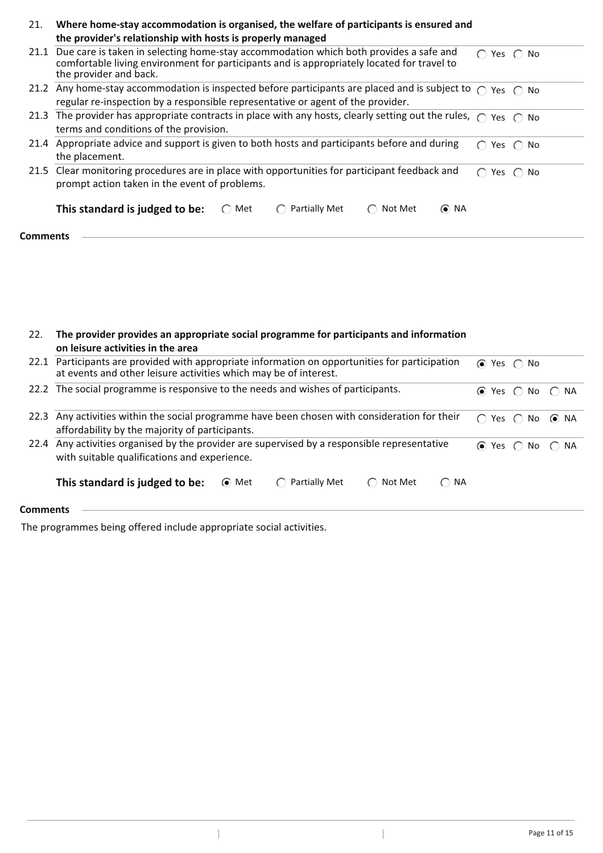| 21.             | Where home-stay accommodation is organised, the welfare of participants is ensured and<br>the provider's relationship with hosts is properly managed                                                               |           |                  |
|-----------------|--------------------------------------------------------------------------------------------------------------------------------------------------------------------------------------------------------------------|-----------|------------------|
|                 | 21.1 Due care is taken in selecting home-stay accommodation which both provides a safe and<br>comfortable living environment for participants and is appropriately located for travel to<br>the provider and back. | $\cap$    | Yes $\bigcap$ No |
|                 | 21.2 Any home-stay accommodation is inspected before participants are placed and is subject to $\bigcap$ Yes $\bigcap$ No<br>regular re-inspection by a responsible representative or agent of the provider.       |           |                  |
|                 | 21.3 The provider has appropriate contracts in place with any hosts, clearly setting out the rules, $\bigcap$ Yes $\bigcap$ No<br>terms and conditions of the provision.                                           |           |                  |
|                 | 21.4 Appropriate advice and support is given to both hosts and participants before and during<br>the placement.                                                                                                    | $\cap$    | Yes $\bigcap$ No |
|                 | 21.5 Clear monitoring procedures are in place with opportunities for participant feedback and<br>prompt action taken in the event of problems.                                                                     | $\bigcap$ | Yes $\bigcap$ No |
|                 | $\odot$ NA<br>This standard is judged to be:<br>Partially Met<br>Met<br>Not Met<br>$\left( \begin{array}{c} \end{array} \right)$<br>$(\ )$                                                                         |           |                  |
| <b>Comments</b> |                                                                                                                                                                                                                    |           |                  |

| 22. The provider provides an appropriate social programme for participants and information |
|--------------------------------------------------------------------------------------------|
| on leisure activities in the area                                                          |

|                 | 22.1 Participants are provided with appropriate information on opportunities for participation<br>at events and other leisure activities which may be of interest. |       |               |                   |                                   | $\odot$ Yes $\odot$ No                   |  |
|-----------------|--------------------------------------------------------------------------------------------------------------------------------------------------------------------|-------|---------------|-------------------|-----------------------------------|------------------------------------------|--|
|                 | 22.2 The social programme is responsive to the needs and wishes of participants.                                                                                   |       |               |                   |                                   | $\odot$ Yes $\odot$ No $\odot$ NA        |  |
| 22.3            | Any activities within the social programme have been chosen with consideration for their<br>affordability by the majority of participants.                         |       |               |                   |                                   | Yes $\bigcap$ No $\bigcirc$ NA<br>$\cap$ |  |
|                 | 22.4 Any activities organised by the provider are supervised by a responsible representative<br>with suitable qualifications and experience.                       |       |               |                   | $\odot$ Yes $\odot$ No $\odot$ NA |                                          |  |
|                 | This standard is judged to be:                                                                                                                                     | ⊙ Met | Partially Met | $\bigcap$ Not Met | $\bigcap$ NA                      |                                          |  |
| <b>Comments</b> |                                                                                                                                                                    |       |               |                   |                                   |                                          |  |

 $\overline{\phantom{a}}$ 

The programmes being offered include appropriate social activities.

 $\overline{\phantom{a}}$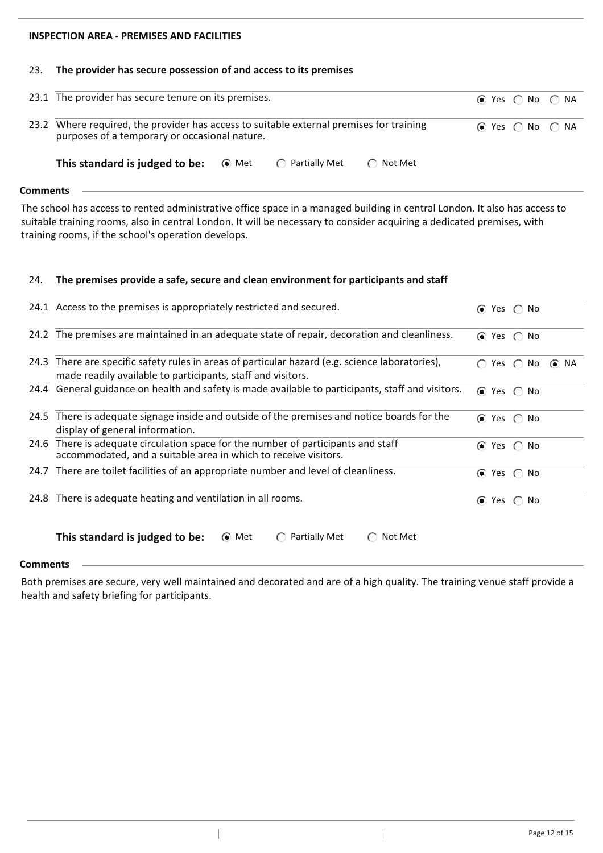# **INSPECTION AREA - PREMISES AND FACILITIES**

#### 23. **The provider has secure possession of and access to its premises**

| 23.1 The provider has secure tenure on its premises.                                                                                     |                 |                   | $\odot$ Yes $\bigcirc$ No $\bigcirc$ NA |  |
|------------------------------------------------------------------------------------------------------------------------------------------|-----------------|-------------------|-----------------------------------------|--|
| 23.2 Where required, the provider has access to suitable external premises for training<br>purposes of a temporary or occasional nature. |                 |                   | $\odot$ Yes $\odot$ No $\odot$ NA       |  |
| <b>This standard is judged to be:</b> $\bullet$ Met                                                                                      | ◯ Partially Met | $\bigcap$ Not Met |                                         |  |

#### **Comments**

The school has access to rented administrative office space in a managed building in central London. It also has access to suitable training rooms, also in central London. It will be necessary to consider acquiring a dedicated premises, with training rooms, if the school's operation develops.

#### 24. **The premises provide a safe, secure and clean environment for participants and staff**

 $\overline{\phantom{a}}$ 

|      | 24.1 Access to the premises is appropriately restricted and secured.                                                                                      |           |               | $\odot$ Yes $\odot$ No |            |
|------|-----------------------------------------------------------------------------------------------------------------------------------------------------------|-----------|---------------|------------------------|------------|
|      | 24.2 The premises are maintained in an adequate state of repair, decoration and cleanliness.                                                              |           |               | $\odot$ Yes $\odot$ No |            |
| 24.3 | There are specific safety rules in areas of particular hazard (e.g. science laboratories),<br>made readily available to participants, staff and visitors. | $\bigcap$ | Yes $\bigcap$ | No                     | $\odot$ NA |
|      | 24.4 General guidance on health and safety is made available to participants, staff and visitors.                                                         |           |               | $\odot$ Yes $\odot$ No |            |
| 24.5 | There is adequate signage inside and outside of the premises and notice boards for the<br>display of general information.                                 |           |               | $\odot$ Yes $\odot$ No |            |
| 24.6 | There is adequate circulation space for the number of participants and staff<br>accommodated, and a suitable area in which to receive visitors.           |           |               | $\odot$ Yes $\odot$ No |            |
|      | 24.7 There are toilet facilities of an appropriate number and level of cleanliness.                                                                       | $\odot$   |               | Yes $\bigcap$ No       |            |
|      | 24.8 There is adequate heating and ventilation in all rooms.                                                                                              | $\odot$   |               | Yes $\bigcap$ No       |            |
|      | This standard is judged to be:<br>Partially Met<br>$\odot$ Met<br>Not Met                                                                                 |           |               |                        |            |

### **Comments**

Both premises are secure, very well maintained and decorated and are of a high quality. The training venue staff provide a health and safety briefing for participants.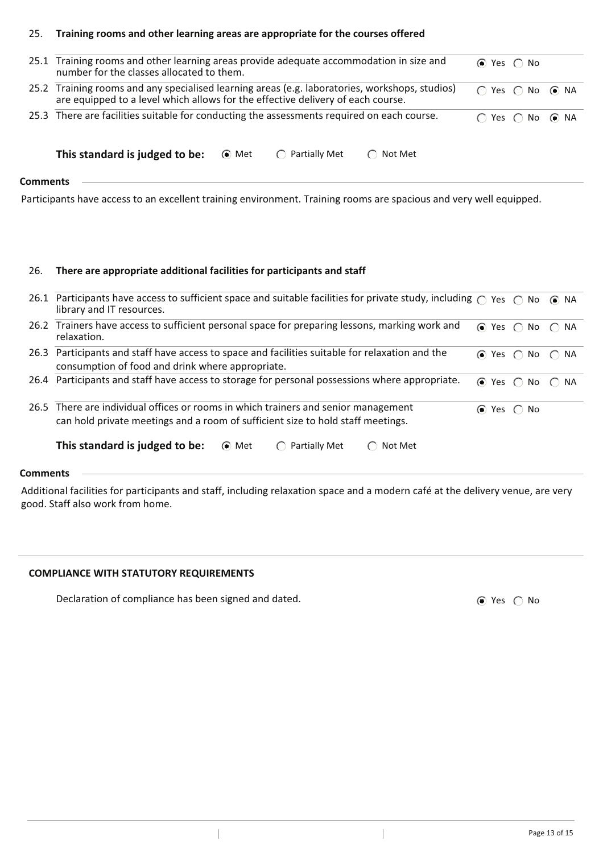#### 25. **Training rooms and other learning areas are appropriate for the courses offered**

|                 | 25.1 Training rooms and other learning areas provide adequate accommodation in size and<br>number for the classes allocated to them.                                              |       |                         |                                          | $\odot$ Yes $\odot$ No                   |  |
|-----------------|-----------------------------------------------------------------------------------------------------------------------------------------------------------------------------------|-------|-------------------------|------------------------------------------|------------------------------------------|--|
|                 | 25.2 Training rooms and any specialised learning areas (e.g. laboratories, workshops, studios)<br>are equipped to a level which allows for the effective delivery of each course. |       |                         |                                          | $\bigcap$ Yes $\bigcap$ No $\bigcirc$ NA |  |
|                 | 25.3 There are facilities suitable for conducting the assessments required on each course.                                                                                        |       |                         | $\bigcap$ Yes $\bigcap$ No $\bigcirc$ NA |                                          |  |
|                 | This standard is judged to be:                                                                                                                                                    | ⊙ Met | $\bigcap$ Partially Met | $\bigcap$ Not Met                        |                                          |  |
| <b>Comments</b> |                                                                                                                                                                                   |       |                         |                                          |                                          |  |

Participants have access to an excellent training environment. Training rooms are spacious and very well equipped.

#### 26. **There are appropriate additional facilities for participants and staff**

|      | 26.1 Participants have access to sufficient space and suitable facilities for private study, including $\cap$ Yes $\cap$ No<br>library and IT resources.              |                        |                                         | $\odot$ NA      |
|------|-----------------------------------------------------------------------------------------------------------------------------------------------------------------------|------------------------|-----------------------------------------|-----------------|
|      | 26.2 Trainers have access to sufficient personal space for preparing lessons, marking work and<br>relaxation.                                                         |                        | $\odot$ Yes $\bigcirc$ No $\bigcirc$ NA |                 |
| 26.3 | Participants and staff have access to space and facilities suitable for relaxation and the<br>consumption of food and drink where appropriate.                        |                        | $\odot$ Yes $\odot$ No $\odot$ NA       |                 |
|      | 26.4 Participants and staff have access to storage for personal possessions where appropriate.                                                                        | $\odot$ Yes $\odot$    |                                         | No $\bigcap$ NA |
|      | 26.5 There are individual offices or rooms in which trainers and senior management<br>can hold private meetings and a room of sufficient size to hold staff meetings. | $\odot$ Yes $\odot$ No |                                         |                 |
|      | This standard is judged to be:<br>Partially Met<br>⊙ Met<br>Not Met<br>$\left( \begin{array}{c} \end{array} \right)$                                                  |                        |                                         |                 |

# **Comments**

Additional facilities for participants and staff, including relaxation space and a modern café at the delivery venue, are very good. Staff also work from home.

 $\begin{array}{c} \hline \end{array}$ 

# **COMPLIANCE WITH STATUTORY REQUIREMENTS**

Declaration of compliance has been signed and dated.  $\bullet$  Yes  $\circ$  No

 $\overline{\phantom{a}}$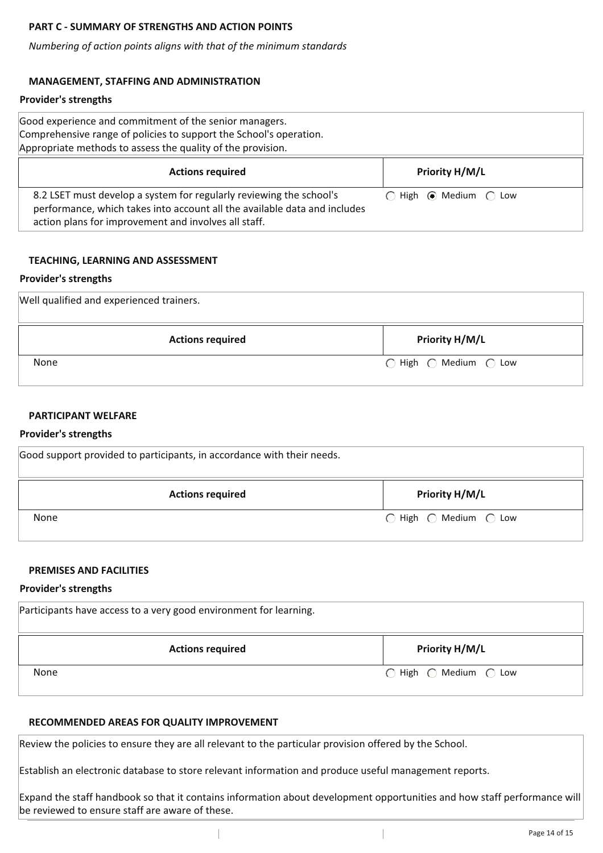# **PART C - SUMMARY OF STRENGTHS AND ACTION POINTS**

*Numbering of action points aligns with that of the minimum standards*

# **MANAGEMENT, STAFFING AND ADMINISTRATION**

### **Provider's strengths**

| Good experience and commitment of the senior managers.<br>Comprehensive range of policies to support the School's operation.<br>Appropriate methods to assess the quality of the provision.              |                                                 |
|----------------------------------------------------------------------------------------------------------------------------------------------------------------------------------------------------------|-------------------------------------------------|
| <b>Actions required</b>                                                                                                                                                                                  | <b>Priority H/M/L</b>                           |
| 8.2 LSET must develop a system for regularly reviewing the school's<br>performance, which takes into account all the available data and includes<br>action plans for improvement and involves all staff. | $\bigcap$ High $\bigcirc$ Medium $\bigcirc$ Low |

### **TEACHING, LEARNING AND ASSESSMENT**

### **Provider's strengths**

| Well qualified and experienced trainers. |                       |
|------------------------------------------|-----------------------|
| <b>Actions required</b>                  | <b>Priority H/M/L</b> |
| None                                     | ○ High ○ Medium ○ Low |

# **PARTICIPANT WELFARE**

### **Provider's strengths**

| Good support provided to participants, in accordance with their needs. |                                                  |  |  |
|------------------------------------------------------------------------|--------------------------------------------------|--|--|
| <b>Actions required</b>                                                | <b>Priority H/M/L</b>                            |  |  |
| None                                                                   | $\bigcirc$ High $\bigcirc$ Medium $\bigcirc$ Low |  |  |

### **PREMISES AND FACILITIES**

### **Provider's strengths**

| Participants have access to a very good environment for learning. |                                               |  |  |
|-------------------------------------------------------------------|-----------------------------------------------|--|--|
| <b>Actions required</b>                                           | <b>Priority H/M/L</b>                         |  |  |
| <b>None</b>                                                       | $\bigcap$ High $\bigcap$ Medium $\bigcap$ Low |  |  |

### **RECOMMENDED AREAS FOR QUALITY IMPROVEMENT**

Review the policies to ensure they are all relevant to the particular provision offered by the School.

Establish an electronic database to store relevant information and produce useful management reports.

Expand the staff handbook so that it contains information about development opportunities and how staff performance will be reviewed to ensure staff are aware of these.

 $\overline{\phantom{a}}$